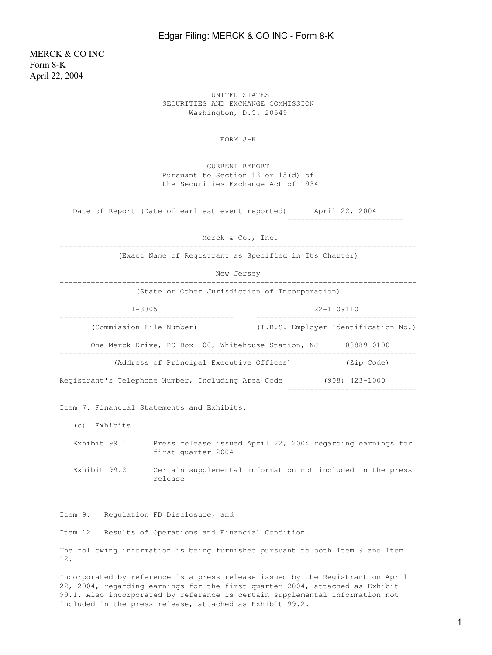## Edgar Filing: MERCK & CO INC - Form 8-K

MERCK & CO INC Form 8-K April 22, 2004

> UNITED STATES SECURITIES AND EXCHANGE COMMISSION Washington, D.C. 20549

> > FORM 8-K

 CURRENT REPORT Pursuant to Section 13 or 15(d) of the Securities Exchange Act of 1934

Date of Report (Date of earliest event reported) April 22, 2004 --------------------------

 Merck & Co., Inc. --------------------------------------------------------------------------------

(Exact Name of Registrant as Specified in Its Charter)

New Jersey

| (State or Other Jurisdiction of Incorporation)      |                                      |
|-----------------------------------------------------|--------------------------------------|
| $1 - 3305$                                          | $22 - 1109110$                       |
| (Commission File Number)                            | (I.R.S. Employer Identification No.) |
| One Merck Drive, PO Box 100, Whitehouse Station, NJ | 08889-0100                           |
| (Address of Principal Executive Offices)            | (Zip Code)                           |
| Registrant's Telephone Number, Including Area Code  | (908) 423-1000                       |

Item 7. Financial Statements and Exhibits.

(c) Exhibits

 Exhibit 99.1 Press release issued April 22, 2004 regarding earnings for first quarter 2004

 Exhibit 99.2 Certain supplemental information not included in the press release

Item 9. Regulation FD Disclosure; and

Item 12. Results of Operations and Financial Condition.

The following information is being furnished pursuant to both Item 9 and Item 12.

Incorporated by reference is a press release issued by the Registrant on April 22, 2004, regarding earnings for the first quarter 2004, attached as Exhibit 99.1. Also incorporated by reference is certain supplemental information not included in the press release, attached as Exhibit 99.2.